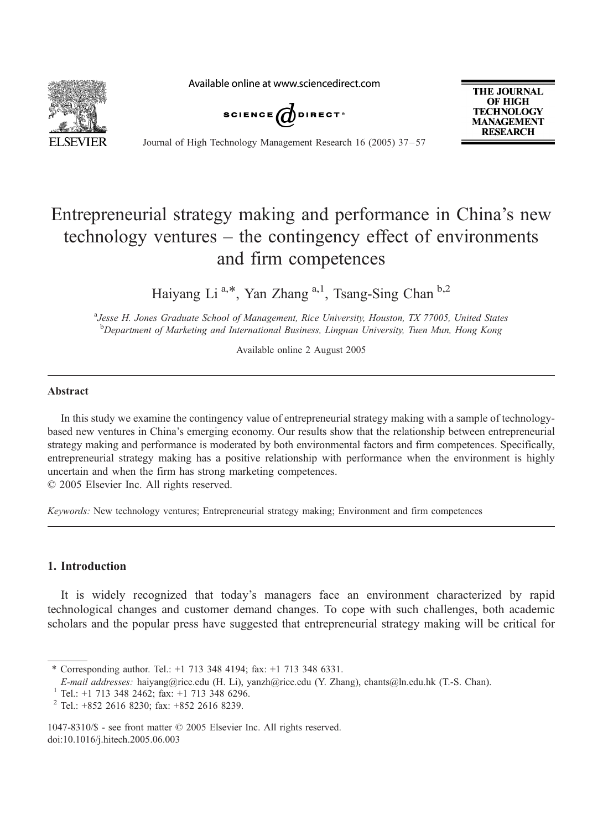Available online at www.sciencedirect.com







Journal of High Technology Management Research 16 (2005) 37 – 57

## Entrepreneurial strategy making and performance in China's new technology ventures – the contingency effect of environments and firm competences

Haiyang Li<sup>a,\*</sup>, Yan Zhang<sup>a,1</sup>, Tsang-Sing Chan<sup>b,2</sup>

<sup>a</sup> Jesse H. Jones Graduate School of Management, Rice University, Houston, TX 77005, United States <sup>b</sup>Department of Marketing and International Business, Lingnan University, Tuen Mun, Hong Kong

Available online 2 August 2005

## Abstract

In this study we examine the contingency value of entrepreneurial strategy making with a sample of technologybased new ventures in China's emerging economy. Our results show that the relationship between entrepreneurial strategy making and performance is moderated by both environmental factors and firm competences. Specifically, entrepreneurial strategy making has a positive relationship with performance when the environment is highly uncertain and when the firm has strong marketing competences.

 $© 2005 Elsevier Inc. All rights reserved.$ 

Keywords: New technology ventures; Entrepreneurial strategy making; Environment and firm competences

## 1. Introduction

It is widely recognized that today's managers face an environment characterized by rapid technological changes and customer demand changes. To cope with such challenges, both academic scholars and the popular press have suggested that entrepreneurial strategy making will be critical for

1047-8310/\$ - see front matter © 2005 Elsevier Inc. All rights reserved. doi:10.1016/j.hitech.2005.06.003

<sup>\*</sup> Corresponding author. Tel.:  $+1$  713 348 4194; fax:  $+1$  713 348 6331.

E-mail addresses: haiyang@rice.edu (H. Li), yanzh@rice.edu (Y. Zhang), chants@ln.edu.hk (T.-S. Chan). <sup>1</sup> Tel.: +1 713 348 2462; fax: +1 713 348 6296.

 $^{2}$  Tel.: +852 2616 8230; fax: +852 2616 8239.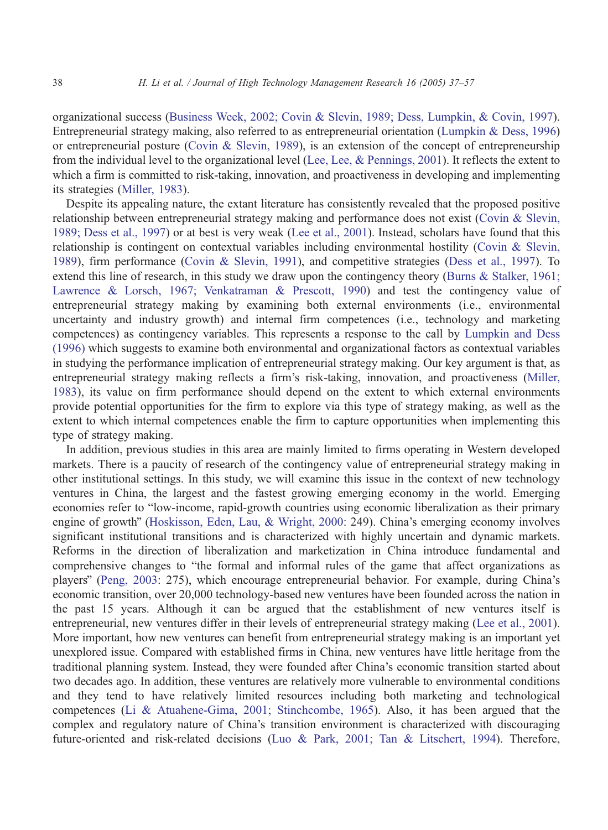organizational success ([Business Week, 2002; Covin & Slevin, 1989; Dess, Lumpkin, & Covin, 1997\)](#page--1-0). Entrepreneurial strategy making, also referred to as entrepreneurial orientation ([Lumpkin & Dess, 1996\)](#page--1-0) or entrepreneurial posture ([Covin & Slevin, 1989\)](#page--1-0), is an extension of the concept of entrepreneurship from the individual level to the organizational level ([Lee, Lee, & Pennings, 2001\)](#page--1-0). It reflects the extent to which a firm is committed to risk-taking, innovation, and proactiveness in developing and implementing its strategies ([Miller, 1983\)](#page--1-0).

Despite its appealing nature, the extant literature has consistently revealed that the proposed positive relationship between entrepreneurial strategy making and performance does not exist ([Covin & Slevin,](#page--1-0) 1989; Dess et al., 1997) or at best is very weak ([Lee et al., 2001\)](#page--1-0). Instead, scholars have found that this relationship is contingent on contextual variables including environmental hostility ([Covin & Slevin,](#page--1-0) 1989), firm performance ([Covin & Slevin, 1991\)](#page--1-0), and competitive strategies ([Dess et al., 1997\)](#page--1-0). To extend this line of research, in this study we draw upon the contingency theory ([Burns & Stalker, 1961;](#page--1-0) Lawrence & Lorsch, 1967; Venkatraman & Prescott, 1990) and test the contingency value of entrepreneurial strategy making by examining both external environments (i.e., environmental uncertainty and industry growth) and internal firm competences (i.e., technology and marketing competences) as contingency variables. This represents a response to the call by [Lumpkin and Dess](#page--1-0) (1996) which suggests to examine both environmental and organizational factors as contextual variables in studying the performance implication of entrepreneurial strategy making. Our key argument is that, as entrepreneurial strategy making reflects a firm's risk-taking, innovation, and proactiveness ([Miller,](#page--1-0) 1983), its value on firm performance should depend on the extent to which external environments provide potential opportunities for the firm to explore via this type of strategy making, as well as the extent to which internal competences enable the firm to capture opportunities when implementing this type of strategy making.

In addition, previous studies in this area are mainly limited to firms operating in Western developed markets. There is a paucity of research of the contingency value of entrepreneurial strategy making in other institutional settings. In this study, we will examine this issue in the context of new technology ventures in China, the largest and the fastest growing emerging economy in the world. Emerging economies refer to "low-income, rapid-growth countries using economic liberalization as their primary engine of growth" ([Hoskisson, Eden, Lau, & Wright, 2000:](#page--1-0) 249). China's emerging economy involves significant institutional transitions and is characterized with highly uncertain and dynamic markets. Reforms in the direction of liberalization and marketization in China introduce fundamental and comprehensive changes to "the formal and informal rules of the game that affect organizations as players" [\(Peng, 2003:](#page--1-0) 275), which encourage entrepreneurial behavior. For example, during China's economic transition, over 20,000 technology-based new ventures have been founded across the nation in the past 15 years. Although it can be argued that the establishment of new ventures itself is entrepreneurial, new ventures differ in their levels of entrepreneurial strategy making ([Lee et al., 2001\)](#page--1-0). More important, how new ventures can benefit from entrepreneurial strategy making is an important yet unexplored issue. Compared with established firms in China, new ventures have little heritage from the traditional planning system. Instead, they were founded after China's economic transition started about two decades ago. In addition, these ventures are relatively more vulnerable to environmental conditions and they tend to have relatively limited resources including both marketing and technological competences ([Li & Atuahene-Gima, 2001; Stinchcombe, 1965\)](#page--1-0). Also, it has been argued that the complex and regulatory nature of China's transition environment is characterized with discouraging future-oriented and risk-related decisions ([Luo & Park, 2001; Tan & Litschert, 1994\)](#page--1-0). Therefore,